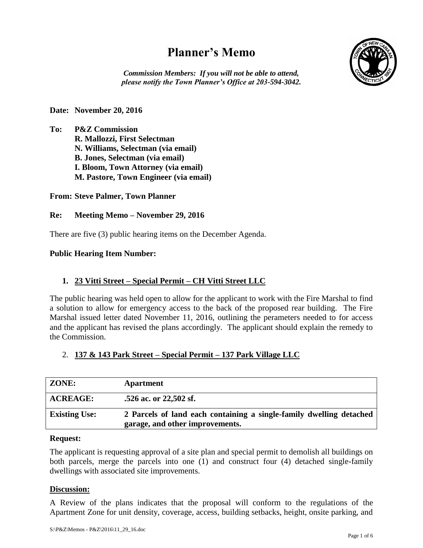# **Planner's Memo**



*Commission Members: If you will not be able to attend, please notify the Town Planner's Office at 203-594-3042.*

# **Date: November 20, 2016**

**To: P&Z Commission R. Mallozzi, First Selectman N. Williams, Selectman (via email) B. Jones, Selectman (via email) I. Bloom, Town Attorney (via email) M. Pastore, Town Engineer (via email)**

# **From: Steve Palmer, Town Planner**

# **Re: Meeting Memo – November 29, 2016**

There are five (3) public hearing items on the December Agenda.

# **Public Hearing Item Number:**

# **1. 23 Vitti Street – Special Permit – CH Vitti Street LLC**

The public hearing was held open to allow for the applicant to work with the Fire Marshal to find a solution to allow for emergency access to the back of the proposed rear building. The Fire Marshal issued letter dated November 11, 2016, outlining the perameters needed to for access and the applicant has revised the plans accordingly. The applicant should explain the remedy to the Commission.

# 2. **137 & 143 Park Street – Special Permit – 137 Park Village LLC**

| ZONE:                | <b>Apartment</b>                                                                                       |
|----------------------|--------------------------------------------------------------------------------------------------------|
| <b>ACREAGE:</b>      | .526 ac. or 22,502 sf.                                                                                 |
| <b>Existing Use:</b> | 2 Parcels of land each containing a single-family dwelling detached<br>garage, and other improvements. |

#### **Request:**

The applicant is requesting approval of a site plan and special permit to demolish all buildings on both parcels, merge the parcels into one (1) and construct four (4) detached single-family dwellings with associated site improvements.

# **Discussion:**

A Review of the plans indicates that the proposal will conform to the regulations of the Apartment Zone for unit density, coverage, access, building setbacks, height, onsite parking, and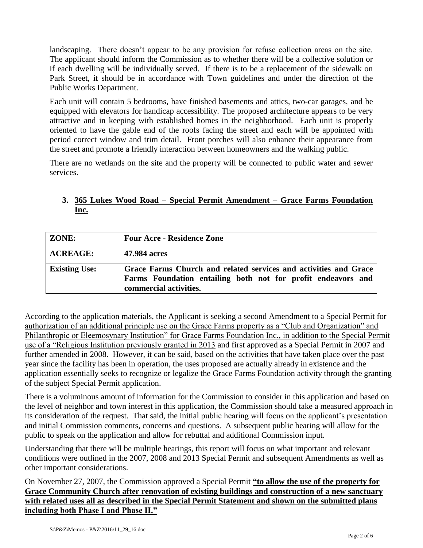landscaping. There doesn't appear to be any provision for refuse collection areas on the site. The applicant should inform the Commission as to whether there will be a collective solution or if each dwelling will be individually served. If there is to be a replacement of the sidewalk on Park Street, it should be in accordance with Town guidelines and under the direction of the Public Works Department.

Each unit will contain 5 bedrooms, have finished basements and attics, two-car garages, and be equipped with elevators for handicap accessibility. The proposed architecture appears to be very attractive and in keeping with established homes in the neighborhood. Each unit is properly oriented to have the gable end of the roofs facing the street and each will be appointed with period correct window and trim detail. Front porches will also enhance their appearance from the street and promote a friendly interaction between homeowners and the walking public.

There are no wetlands on the site and the property will be connected to public water and sewer services.

# **3. 365 Lukes Wood Road – Special Permit Amendment – Grace Farms Foundation Inc.**

| <b>ZONE:</b>         | <b>Four Acre - Residence Zone</b>                                                                                                                          |
|----------------------|------------------------------------------------------------------------------------------------------------------------------------------------------------|
| <b>ACREAGE:</b>      | 47.984 acres                                                                                                                                               |
| <b>Existing Use:</b> | Grace Farms Church and related services and activities and Grace<br>Farms Foundation entailing both not for profit endeavors and<br>commercial activities. |

According to the application materials, the Applicant is seeking a second Amendment to a Special Permit for authorization of an additional principle use on the Grace Farms property as a "Club and Organization" and Philanthropic or Eleemosynary Institution" for Grace Farms Foundation Inc., in addition to the Special Permit use of a "Religious Institution previously granted in 2013 and first approved as a Special Permit in 2007 and further amended in 2008. However, it can be said, based on the activities that have taken place over the past year since the facility has been in operation, the uses proposed are actually already in existence and the application essentially seeks to recognize or legalize the Grace Farms Foundation activity through the granting of the subject Special Permit application.

There is a voluminous amount of information for the Commission to consider in this application and based on the level of neighbor and town interest in this application, the Commission should take a measured approach in its consideration of the request. That said, the initial public hearing will focus on the applicant's presentation and initial Commission comments, concerns and questions. A subsequent public hearing will allow for the public to speak on the application and allow for rebuttal and additional Commission input.

Understanding that there will be multiple hearings, this report will focus on what important and relevant conditions were outlined in the 2007, 2008 and 2013 Special Permit and subsequent Amendments as well as other important considerations.

On November 27, 2007, the Commission approved a Special Permit **"to allow the use of the property for Grace Community Church after renovation of existing buildings and construction of a new sanctuary with related uses all as described in the Special Permit Statement and shown on the submitted plans including both Phase I and Phase II."**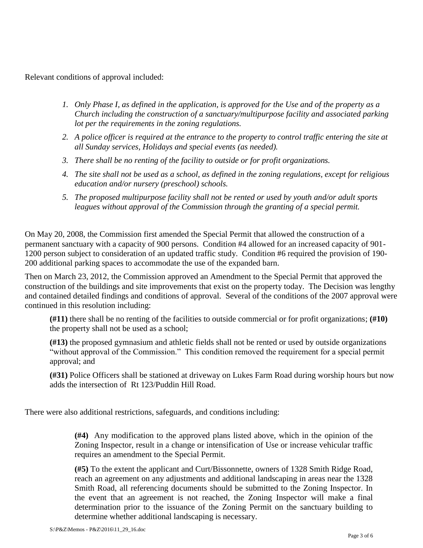Relevant conditions of approval included:

- *1. Only Phase I, as defined in the application, is approved for the Use and of the property as a Church including the construction of a sanctuary/multipurpose facility and associated parking lot per the requirements in the zoning regulations.*
- *2. A police officer is required at the entrance to the property to control traffic entering the site at all Sunday services, Holidays and special events (as needed).*
- *3. There shall be no renting of the facility to outside or for profit organizations.*
- *4. The site shall not be used as a school, as defined in the zoning regulations, except for religious education and/or nursery (preschool) schools.*
- *5. The proposed multipurpose facility shall not be rented or used by youth and/or adult sports leagues without approval of the Commission through the granting of a special permit.*

On May 20, 2008, the Commission first amended the Special Permit that allowed the construction of a permanent sanctuary with a capacity of 900 persons. Condition #4 allowed for an increased capacity of 901- 1200 person subject to consideration of an updated traffic study. Condition #6 required the provision of 190- 200 additional parking spaces to accommodate the use of the expanded barn.

Then on March 23, 2012, the Commission approved an Amendment to the Special Permit that approved the construction of the buildings and site improvements that exist on the property today. The Decision was lengthy and contained detailed findings and conditions of approval. Several of the conditions of the 2007 approval were continued in this resolution including:

**(#11)** there shall be no renting of the facilities to outside commercial or for profit organizations; **(#10)** the property shall not be used as a school;

**(#13)** the proposed gymnasium and athletic fields shall not be rented or used by outside organizations "without approval of the Commission." This condition removed the requirement for a special permit approval; and

**(#31)** Police Officers shall be stationed at driveway on Lukes Farm Road during worship hours but now adds the intersection of Rt 123/Puddin Hill Road.

There were also additional restrictions, safeguards, and conditions including:

**(#4)** Any modification to the approved plans listed above, which in the opinion of the Zoning Inspector, result in a change or intensification of Use or increase vehicular traffic requires an amendment to the Special Permit.

**(#5)** To the extent the applicant and Curt/Bissonnette, owners of 1328 Smith Ridge Road, reach an agreement on any adjustments and additional landscaping in areas near the 1328 Smith Road, all referencing documents should be submitted to the Zoning Inspector. In the event that an agreement is not reached, the Zoning Inspector will make a final determination prior to the issuance of the Zoning Permit on the sanctuary building to determine whether additional landscaping is necessary.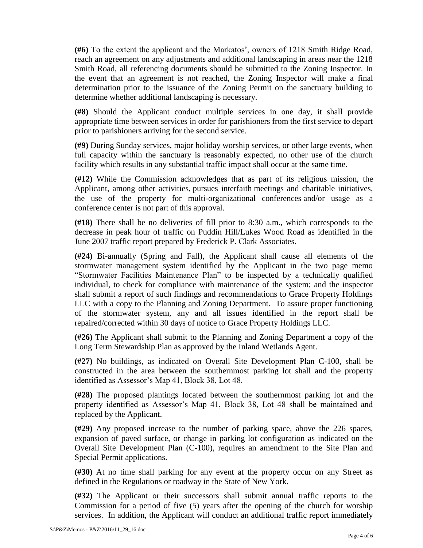**(#6)** To the extent the applicant and the Markatos', owners of 1218 Smith Ridge Road, reach an agreement on any adjustments and additional landscaping in areas near the 1218 Smith Road, all referencing documents should be submitted to the Zoning Inspector. In the event that an agreement is not reached, the Zoning Inspector will make a final determination prior to the issuance of the Zoning Permit on the sanctuary building to determine whether additional landscaping is necessary.

**(#8)** Should the Applicant conduct multiple services in one day, it shall provide appropriate time between services in order for parishioners from the first service to depart prior to parishioners arriving for the second service.

**(#9)** During Sunday services, major holiday worship services, or other large events, when full capacity within the sanctuary is reasonably expected, no other use of the church facility which results in any substantial traffic impact shall occur at the same time.

**(#12)** While the Commission acknowledges that as part of its religious mission, the Applicant, among other activities, pursues interfaith meetings and charitable initiatives, the use of the property for multi-organizational conferences and/or usage as a conference center is not part of this approval.

**(#18)** There shall be no deliveries of fill prior to 8:30 a.m., which corresponds to the decrease in peak hour of traffic on Puddin Hill/Lukes Wood Road as identified in the June 2007 traffic report prepared by Frederick P. Clark Associates.

**(#24)** Bi-annually (Spring and Fall), the Applicant shall cause all elements of the stormwater management system identified by the Applicant in the two page memo "Stormwater Facilities Maintenance Plan" to be inspected by a technically qualified individual, to check for compliance with maintenance of the system; and the inspector shall submit a report of such findings and recommendations to Grace Property Holdings LLC with a copy to the Planning and Zoning Department. To assure proper functioning of the stormwater system, any and all issues identified in the report shall be repaired/corrected within 30 days of notice to Grace Property Holdings LLC.

**(#26)** The Applicant shall submit to the Planning and Zoning Department a copy of the Long Term Stewardship Plan as approved by the Inland Wetlands Agent.

**(#27)** No buildings, as indicated on Overall Site Development Plan C-100, shall be constructed in the area between the southernmost parking lot shall and the property identified as Assessor's Map 41, Block 38, Lot 48.

**(#28)** The proposed plantings located between the southernmost parking lot and the property identified as Assessor's Map 41, Block 38, Lot 48 shall be maintained and replaced by the Applicant.

**(#29)** Any proposed increase to the number of parking space, above the 226 spaces, expansion of paved surface, or change in parking lot configuration as indicated on the Overall Site Development Plan (C-100), requires an amendment to the Site Plan and Special Permit applications.

**(#30)** At no time shall parking for any event at the property occur on any Street as defined in the Regulations or roadway in the State of New York.

**(#32)** The Applicant or their successors shall submit annual traffic reports to the Commission for a period of five (5) years after the opening of the church for worship services. In addition, the Applicant will conduct an additional traffic report immediately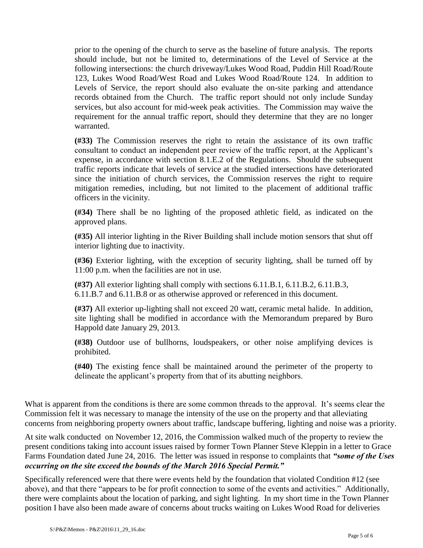prior to the opening of the church to serve as the baseline of future analysis. The reports should include, but not be limited to, determinations of the Level of Service at the following intersections: the church driveway/Lukes Wood Road, Puddin Hill Road/Route 123, Lukes Wood Road/West Road and Lukes Wood Road/Route 124. In addition to Levels of Service, the report should also evaluate the on-site parking and attendance records obtained from the Church. The traffic report should not only include Sunday services, but also account for mid-week peak activities. The Commission may waive the requirement for the annual traffic report, should they determine that they are no longer warranted.

**(#33)** The Commission reserves the right to retain the assistance of its own traffic consultant to conduct an independent peer review of the traffic report, at the Applicant's expense, in accordance with section 8.1.E.2 of the Regulations. Should the subsequent traffic reports indicate that levels of service at the studied intersections have deteriorated since the initiation of church services, the Commission reserves the right to require mitigation remedies, including, but not limited to the placement of additional traffic officers in the vicinity.

**(#34)** There shall be no lighting of the proposed athletic field, as indicated on the approved plans.

**(#35)** All interior lighting in the River Building shall include motion sensors that shut off interior lighting due to inactivity.

**(#36)** Exterior lighting, with the exception of security lighting, shall be turned off by 11:00 p.m. when the facilities are not in use.

**(#37)** All exterior lighting shall comply with sections 6.11.B.1, 6.11.B.2, 6.11.B.3, 6.11.B.7 and 6.11.B.8 or as otherwise approved or referenced in this document.

**(#37)** All exterior up-lighting shall not exceed 20 watt, ceramic metal halide. In addition, site lighting shall be modified in accordance with the Memorandum prepared by Buro Happold date January 29, 2013.

**(#38)** Outdoor use of bullhorns, loudspeakers, or other noise amplifying devices is prohibited.

**(#40)** The existing fence shall be maintained around the perimeter of the property to delineate the applicant's property from that of its abutting neighbors.

What is apparent from the conditions is there are some common threads to the approval. It's seems clear the Commission felt it was necessary to manage the intensity of the use on the property and that alleviating concerns from neighboring property owners about traffic, landscape buffering, lighting and noise was a priority.

At site walk conducted on November 12, 2016, the Commission walked much of the property to review the present conditions taking into account issues raised by former Town Planner Steve Kleppin in a letter to Grace Farms Foundation dated June 24, 2016. The letter was issued in response to complaints that *"some of the Uses occurring on the site exceed the bounds of the March 2016 Special Permit."*

Specifically referenced were that there were events held by the foundation that violated Condition #12 (see above), and that there "appears to be for profit connection to some of the events and activities." Additionally, there were complaints about the location of parking, and sight lighting. In my short time in the Town Planner position I have also been made aware of concerns about trucks waiting on Lukes Wood Road for deliveries